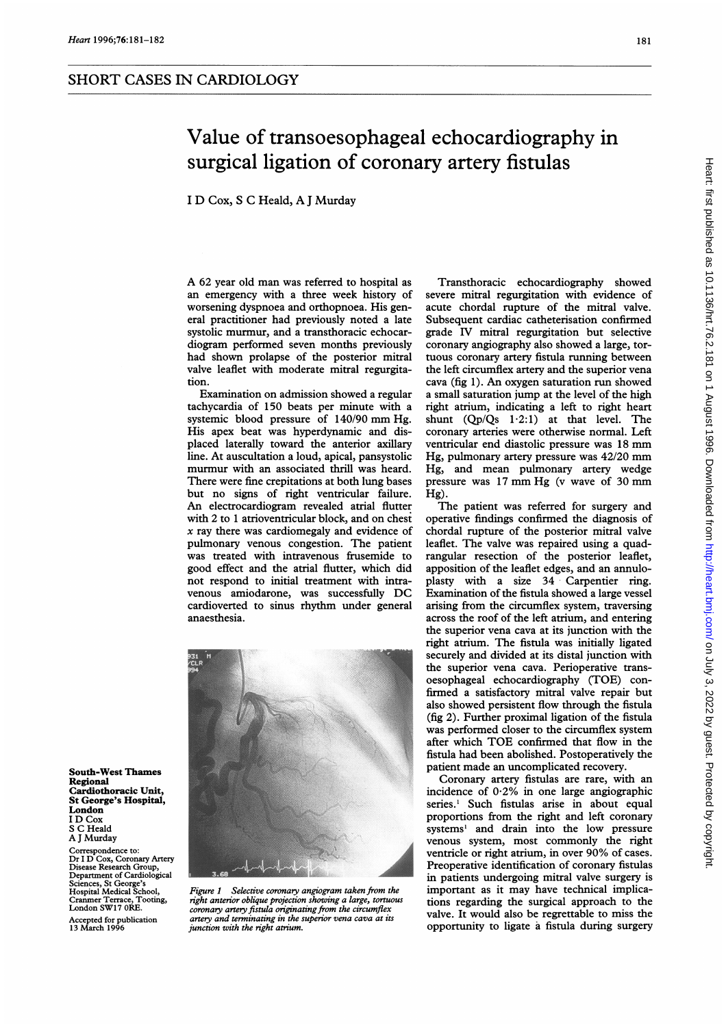<sup>I</sup> D Cox, <sup>S</sup> C Heald, A <sup>J</sup> Murday

A <sup>62</sup> year old man was referred to hospital as an emergency with a three week history of worsening dyspnoea and orthopnoea. His general practitioner had previously noted a late systolic murmur, and a transthoracic echocardiogram performed seven months previously had shown prolapse of the posterior mitral valve leaflet with moderate mitral regurgitation.

Examination on admission showed a regular tachycardia of 150 beats per minute with a systemic blood pressure of 140/90 mm Hg. His apex beat was hyperdynamic and displaced laterally toward the anterior axillary line. At auscultation a loud, apical, pansystolic murmur with an associated thrill was heard. There were fine crepitations at both lung bases but no signs of right ventricular failure. An electrocardiogram revealed atrial flutter with 2 to <sup>1</sup> atrioventricular block, and on chest  $x$  ray there was cardiomegaly and evidence of pulmonary venous congestion. The patient was treated with intravenous frusemide to good effect and the atrial flutter, which did not respond to initial treatment with intravenous amiodarone, was successfully DC cardioverted to sinus rhythm under general anaesthesia.



Figure <sup>1</sup> Selective coronary angiogram taken from the right anterior oblique projection showing a large, tortuous coronary artery fistula originating from the circumflex artery and terminating in the superior vena cava at its junction with the right atrium.

Transthoracic echocardiography showed severe mitral regurgitation with evidence of acute chordal rupture of the mitral valve. Subsequent cardiac catheterisation confirmed grade IV mitral regurgitation but selective coronary angiography also showed a large, tortuous coronary artery fistula running between the left circumflex artery and the superior vena cava (fig 1). An oxygen saturation run showed a small saturation jump at the level of the high right atrium, indicating a left to right heart shunt  $(Qp/Qs \t1.2:1)$  at that level. The coronary arteries were otherwise normal. Left ventricular end diastolic pressure was <sup>18</sup> mm Hg, pulmonary artery pressure was 42/20 mm Hg, and mean pulmonary artery wedge pressure was <sup>17</sup> mm Hg (v wave of <sup>30</sup> mm Hg).

The patient was referred for surgery and operative findings confirmed the diagnosis of chordal rupture of the posterior mitral valve leaflet. The valve was repaired using a quadrangular resection of the posterior leaflet, apposition of the leaflet edges, and an annuloplasty with a size 34 Carpentier ring. Examination of the fistula showed a large vessel arising from the circumflex system, traversing across the roof of the left atrium, and entering the superior vena cava at its junction with the right atrium. The fistula was initially ligated securely and divided at its distal junction with the superior vena cava. Perioperative transoesophageal echocardiography (TOE) confirmed a satisfactory mitral valve repair but also showed persistent flow through the fistula (fig 2). Further proximal ligation of the fistula was performed closer to the circumflex system after which TOE confirmed that flow in the fistula had been abolished. Postoperatively the patient made an uncomplicated recovery.

Coronary artery fistulas are rare, with an incidence of  $0.2\%$  in one large angiographic series.' Such fistulas arise in about equal proportions from the right and left coronary systems' and drain into the low pressure venous system, most commonly the right ventricle or right atrium, in over 90% of cases. Preoperative identification of coronary fistulas in patients undergoing mitral valve surgery is important as it may have technical implications regarding the surgical approach to the valve. It would also be regrettable to miss the opportunity to ligate a fistula during surgery

South-West Thames Regional Cardiothoracic Unit, St George's Hospital, London <sup>I</sup> D Cox S C Heald A <sup>J</sup> Murday

Correspondence to: Dr <sup>I</sup> D Cox, Coronary Artery Disease Research Group, Department of Cardiological Sciences, St George's Hospital Medical School, Cranmer Terrace, Tooting, London SW17 ORE.

Accepted for publication 13 March 1996